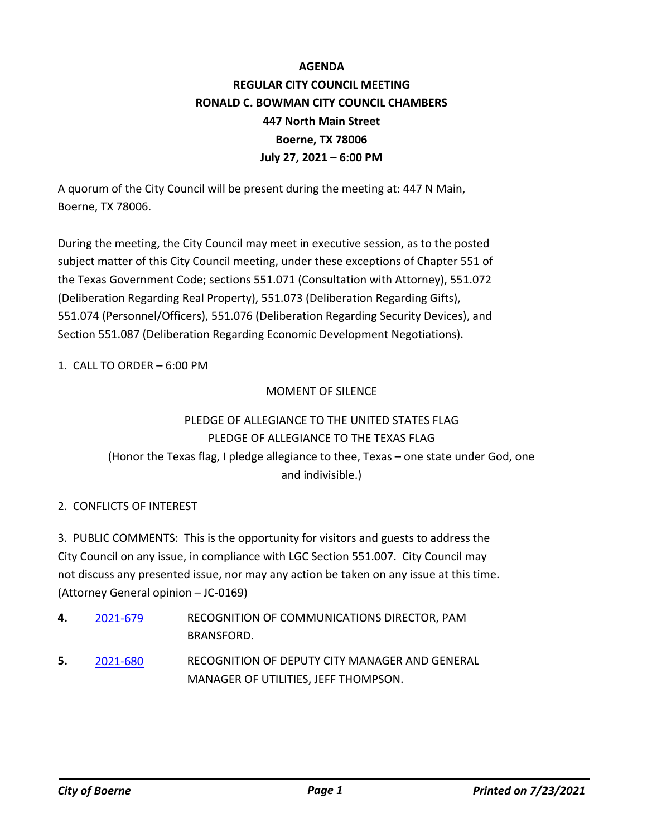# **AGENDA REGULAR CITY COUNCIL MEETING RONALD C. BOWMAN CITY COUNCIL CHAMBERS 447 North Main Street Boerne, TX 78006 July 27, 2021 – 6:00 PM**

A quorum of the City Council will be present during the meeting at: 447 N Main, Boerne, TX 78006.

During the meeting, the City Council may meet in executive session, as to the posted subject matter of this City Council meeting, under these exceptions of Chapter 551 of the Texas Government Code; sections 551.071 (Consultation with Attorney), 551.072 (Deliberation Regarding Real Property), 551.073 (Deliberation Regarding Gifts), 551.074 (Personnel/Officers), 551.076 (Deliberation Regarding Security Devices), and Section 551.087 (Deliberation Regarding Economic Development Negotiations).

1. CALL TO ORDER – 6:00 PM

### MOMENT OF SILENCE

# PLEDGE OF ALLEGIANCE TO THE UNITED STATES FLAG PLEDGE OF ALLEGIANCE TO THE TEXAS FLAG (Honor the Texas flag, I pledge allegiance to thee, Texas – one state under God, one and indivisible.)

### 2. CONFLICTS OF INTEREST

3. PUBLIC COMMENTS: This is the opportunity for visitors and guests to address the City Council on any issue, in compliance with LGC Section 551.007. City Council may not discuss any presented issue, nor may any action be taken on any issue at this time. (Attorney General opinion – JC-0169)

- RECOGNITION OF COMMUNICATIONS DIRECTOR, PAM BRANSFORD. **4.** [2021-679](http://boerne.legistar.com/gateway.aspx?m=l&id=/matter.aspx?key=6117)
- RECOGNITION OF DEPUTY CITY MANAGER AND GENERAL MANAGER OF UTILITIES, JEFF THOMPSON. **5.** [2021-680](http://boerne.legistar.com/gateway.aspx?m=l&id=/matter.aspx?key=6118)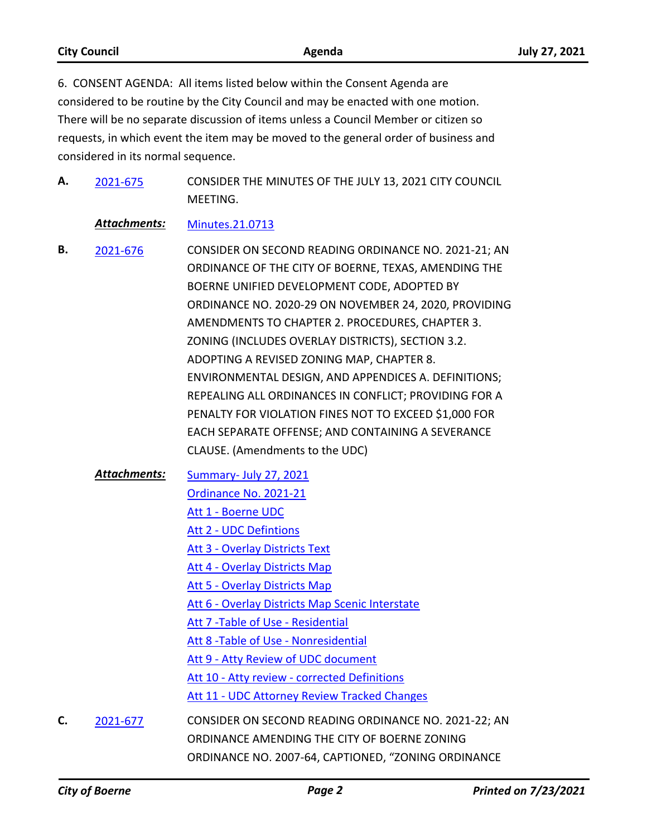| <b>City Council</b> | Agenda                                                                              | <b>July 27, 2021</b> |
|---------------------|-------------------------------------------------------------------------------------|----------------------|
|                     | 6. CONSENT AGENDA: All items listed below within the Consent Agenda are             |                      |
|                     | considered to be routine by the City Council and may be enacted with one motion.    |                      |
|                     | There will be no separate discussion of items upless a Council Member or citizen so |                      |

There will be no separate discussion of items unless a Council Member or citizen so requests, in which event the item may be moved to the general order of business and considered in its normal sequence.

CONSIDER THE MINUTES OF THE JULY 13, 2021 CITY COUNCIL MEETING. **A.** [2021-675](http://boerne.legistar.com/gateway.aspx?m=l&id=/matter.aspx?key=6113)

*Attachments:* [Minutes.21.0713](http://boerne.legistar.com/gateway.aspx?M=F&ID=cfa60247-bc18-4b96-abe6-0061a8d59a7e.pdf)

- CONSIDER ON SECOND READING ORDINANCE NO. 2021-21; AN ORDINANCE OF THE CITY OF BOERNE, TEXAS, AMENDING THE BOERNE UNIFIED DEVELOPMENT CODE, ADOPTED BY ORDINANCE NO. 2020-29 ON NOVEMBER 24, 2020, PROVIDING AMENDMENTS TO CHAPTER 2. PROCEDURES, CHAPTER 3. ZONING (INCLUDES OVERLAY DISTRICTS), SECTION 3.2. ADOPTING A REVISED ZONING MAP, CHAPTER 8. ENVIRONMENTAL DESIGN, AND APPENDICES A. DEFINITIONS; REPEALING ALL ORDINANCES IN CONFLICT; PROVIDING FOR A PENALTY FOR VIOLATION FINES NOT TO EXCEED \$1,000 FOR EACH SEPARATE OFFENSE; AND CONTAINING A SEVERANCE CLAUSE. (Amendments to the UDC) **B.** [2021-676](http://boerne.legistar.com/gateway.aspx?m=l&id=/matter.aspx?key=6114)
	- [Summary- July 27, 2021](http://boerne.legistar.com/gateway.aspx?M=F&ID=bd517638-f47f-4574-bbe6-f8e9e23ee9b6.doc) [Ordinance No. 2021-21](http://boerne.legistar.com/gateway.aspx?M=F&ID=a0780457-d75e-4440-8575-ed914402d22a.docx) [Att 1 - Boerne UDC](http://boerne.legistar.com/gateway.aspx?M=F&ID=662039d1-37dc-495a-ba4d-60231c7fcdb4.pdf) [Att 2 - UDC Defintions](http://boerne.legistar.com/gateway.aspx?M=F&ID=30ad79aa-ce3f-43d1-a88e-fcf8e2217d23.pdf) [Att 3 - Overlay Districts Text](http://boerne.legistar.com/gateway.aspx?M=F&ID=b87c030e-a4b5-448e-9fbc-c7b3f43d3f30.pdf) [Att 4 - Overlay Districts Map](http://boerne.legistar.com/gateway.aspx?M=F&ID=06f11d0a-6994-4f7f-b868-5db999a31da6.pdf) [Att 5 - Overlay Districts Map](http://boerne.legistar.com/gateway.aspx?M=F&ID=3f1caadc-83a3-4f77-b69f-238291126016.pdf) [Att 6 - Overlay Districts Map Scenic Interstate](http://boerne.legistar.com/gateway.aspx?M=F&ID=54d689db-dcbd-4023-ab7e-15aaa7473049.pdf) [Att 7 -Table of Use - Residential](http://boerne.legistar.com/gateway.aspx?M=F&ID=7068d060-ba33-4590-bf20-81440e7ecfd4.pdf) [Att 8 -Table of Use - Nonresidential](http://boerne.legistar.com/gateway.aspx?M=F&ID=73407e5b-efd4-4738-a757-06c82267caff.pdf) [Att 9 - Atty Review of UDC document](http://boerne.legistar.com/gateway.aspx?M=F&ID=55ff65fb-aaca-4553-a920-35c6dd4b1135.pdf) [Att 10 - Atty review - corrected Definitions](http://boerne.legistar.com/gateway.aspx?M=F&ID=c184183e-fc40-455d-9c90-c3d160e888a1.pdf) [Att 11 - UDC Attorney Review Tracked Changes](http://boerne.legistar.com/gateway.aspx?M=F&ID=94f51d05-052f-41f6-b587-c9b099a2e3b9.pdf) *Attachments:* CONSIDER ON SECOND READING ORDINANCE NO. 2021-22; AN
- ORDINANCE AMENDING THE CITY OF BOERNE ZONING ORDINANCE NO. 2007-64, CAPTIONED, "ZONING ORDINANCE **C.** [2021-677](http://boerne.legistar.com/gateway.aspx?m=l&id=/matter.aspx?key=6115)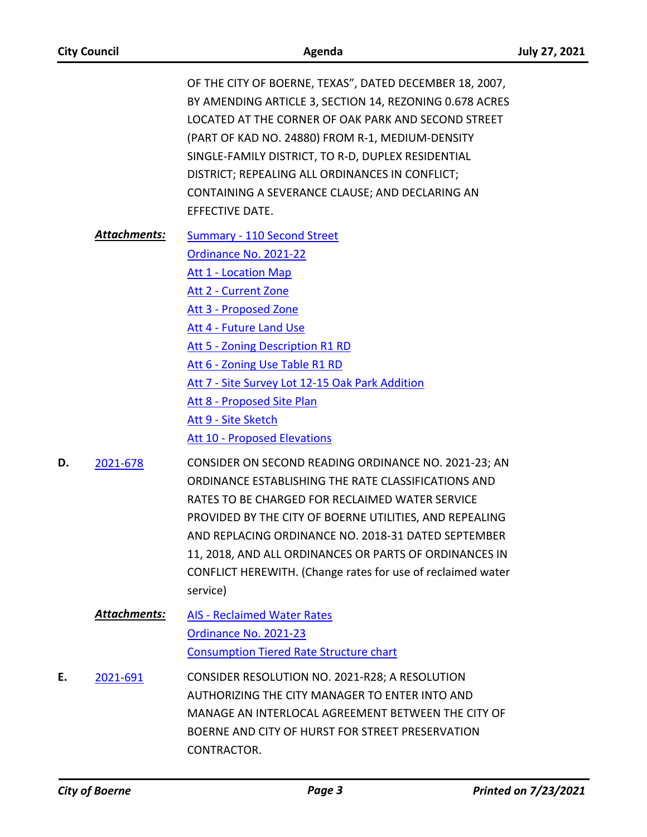| <b>City Council</b> |              | Agenda                                                                                                                                                                                                                                                                                                                                                                                                                | <b>July 27, 2021</b> |
|---------------------|--------------|-----------------------------------------------------------------------------------------------------------------------------------------------------------------------------------------------------------------------------------------------------------------------------------------------------------------------------------------------------------------------------------------------------------------------|----------------------|
|                     |              | OF THE CITY OF BOERNE, TEXAS", DATED DECEMBER 18, 2007,<br>BY AMENDING ARTICLE 3, SECTION 14, REZONING 0.678 ACRES<br>LOCATED AT THE CORNER OF OAK PARK AND SECOND STREET<br>(PART OF KAD NO. 24880) FROM R-1, MEDIUM-DENSITY<br>SINGLE-FAMILY DISTRICT, TO R-D, DUPLEX RESIDENTIAL<br>DISTRICT; REPEALING ALL ORDINANCES IN CONFLICT;<br>CONTAINING A SEVERANCE CLAUSE; AND DECLARING AN<br>EFFECTIVE DATE.          |                      |
|                     | Attachments: | <b>Summary - 110 Second Street</b><br>Ordinance No. 2021-22<br><b>Att 1 - Location Map</b><br>Att 2 - Current Zone<br>Att 3 - Proposed Zone<br>Att 4 - Future Land Use<br>Att 5 - Zoning Description R1 RD<br>Att 6 - Zoning Use Table R1 RD<br>Att 7 - Site Survey Lot 12-15 Oak Park Addition<br>Att 8 - Proposed Site Plan<br>Att 9 - Site Sketch<br><b>Att 10 - Proposed Elevations</b>                           |                      |
| D.                  | 2021-678     | CONSIDER ON SECOND READING ORDINANCE NO. 2021-23; AN<br>ORDINANCE ESTABLISHING THE RATE CLASSIFICATIONS AND<br>RATES TO BE CHARGED FOR RECLAIMED WATER SERVICE<br>PROVIDED BY THE CITY OF BOERNE UTILITIES, AND REPEALING<br>AND REPLACING ORDINANCE NO. 2018-31 DATED SEPTEMBER<br>11, 2018, AND ALL ORDINANCES OR PARTS OF ORDINANCES IN<br>CONFLICT HEREWITH. (Change rates for use of reclaimed water<br>service) |                      |
|                     | Attachments: | <b>AIS - Reclaimed Water Rates</b><br>Ordinance No. 2021-23<br><b>Consumption Tiered Rate Structure chart</b>                                                                                                                                                                                                                                                                                                         |                      |
| Ε.                  | 2021-691     | CONSIDER RESOLUTION NO. 2021-R28; A RESOLUTION<br>AUTHORIZING THE CITY MANAGER TO ENTER INTO AND<br>MANAGE AN INTERLOCAL AGREEMENT BETWEEN THE CITY OF<br>BOERNE AND CITY OF HURST FOR STREET PRESERVATION<br>CONTRACTOR.                                                                                                                                                                                             |                      |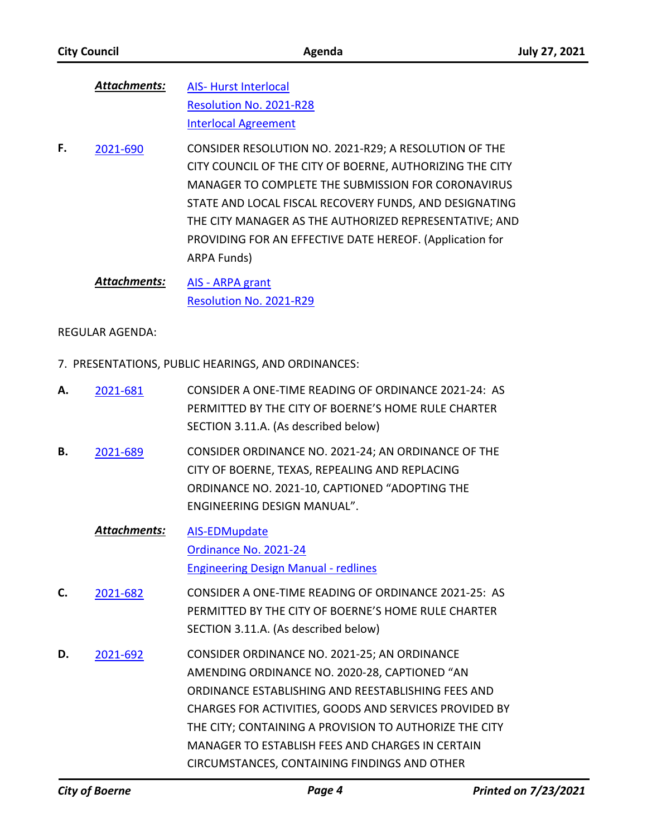| Attachments: | <b>AIS-Hurst Interlocal</b> |
|--------------|-----------------------------|
|              | Resolution No. 2021-R28     |
|              | <b>Interlocal Agreement</b> |

- CONSIDER RESOLUTION NO. 2021-R29; A RESOLUTION OF THE CITY COUNCIL OF THE CITY OF BOERNE, AUTHORIZING THE CITY MANAGER TO COMPLETE THE SUBMISSION FOR CORONAVIRUS STATE AND LOCAL FISCAL RECOVERY FUNDS, AND DESIGNATING THE CITY MANAGER AS THE AUTHORIZED REPRESENTATIVE; AND PROVIDING FOR AN EFFECTIVE DATE HEREOF. (Application for ARPA Funds) **F.** [2021-690](http://boerne.legistar.com/gateway.aspx?m=l&id=/matter.aspx?key=6128)
	- [AIS ARPA grant](http://boerne.legistar.com/gateway.aspx?M=F&ID=cfb82461-0ee4-40c7-bdbb-bc0e66da1262.doc) [Resolution No. 2021-R29](http://boerne.legistar.com/gateway.aspx?M=F&ID=4bace21e-fa9d-47cf-8c8d-64caf935c388.docx) *Attachments:*

REGULAR AGENDA:

7. PRESENTATIONS, PUBLIC HEARINGS, AND ORDINANCES:

| А. | 2021-681            | CONSIDER A ONE-TIME READING OF ORDINANCE 2021-24: AS<br>PERMITTED BY THE CITY OF BOERNE'S HOME RULE CHARTER<br>SECTION 3.11.A. (As described below)                                                                                                                                                                                                                         |
|----|---------------------|-----------------------------------------------------------------------------------------------------------------------------------------------------------------------------------------------------------------------------------------------------------------------------------------------------------------------------------------------------------------------------|
| В. | 2021-689            | CONSIDER ORDINANCE NO. 2021-24; AN ORDINANCE OF THE<br>CITY OF BOERNE, TEXAS, REPEALING AND REPLACING<br>ORDINANCE NO. 2021-10, CAPTIONED "ADOPTING THE<br>ENGINEERING DESIGN MANUAL".                                                                                                                                                                                      |
|    | <b>Attachments:</b> | <b>AIS-EDMupdate</b><br>Ordinance No. 2021-24<br><b>Engineering Design Manual - redlines</b>                                                                                                                                                                                                                                                                                |
| C. | 2021-682            | CONSIDER A ONE-TIME READING OF ORDINANCE 2021-25: AS<br>PERMITTED BY THE CITY OF BOERNE'S HOME RULE CHARTER<br>SECTION 3.11.A. (As described below)                                                                                                                                                                                                                         |
| D. | 2021-692            | CONSIDER ORDINANCE NO. 2021-25; AN ORDINANCE<br>AMENDING ORDINANCE NO. 2020-28, CAPTIONED "AN<br>ORDINANCE ESTABLISHING AND REESTABLISHING FEES AND<br>CHARGES FOR ACTIVITIES, GOODS AND SERVICES PROVIDED BY<br>THE CITY; CONTAINING A PROVISION TO AUTHORIZE THE CITY<br>MANAGER TO ESTABLISH FEES AND CHARGES IN CERTAIN<br>CIRCUMSTANCES, CONTAINING FINDINGS AND OTHER |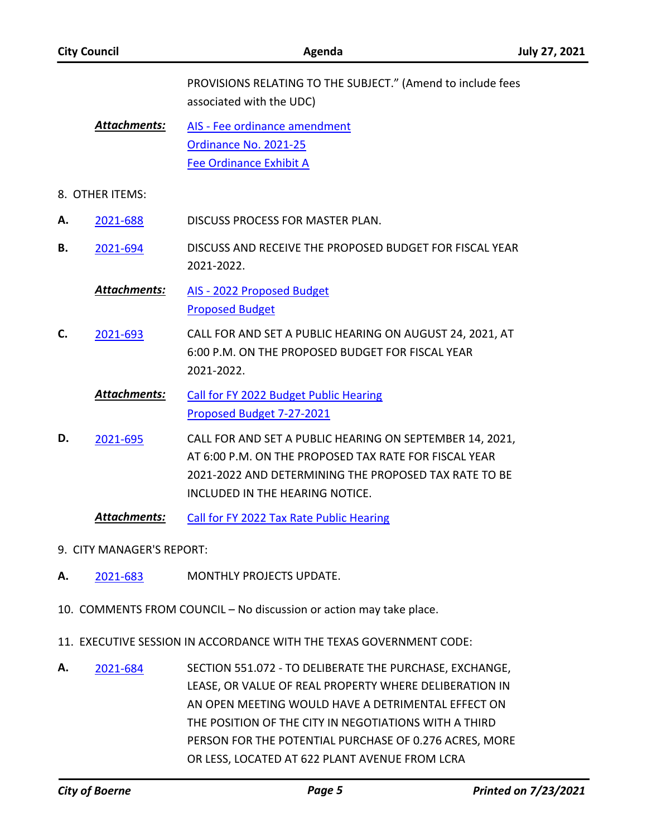|    | <b>City Council</b>       | Agenda                                                                                                                                                                                                        | <b>July 27, 2021</b> |
|----|---------------------------|---------------------------------------------------------------------------------------------------------------------------------------------------------------------------------------------------------------|----------------------|
|    |                           | PROVISIONS RELATING TO THE SUBJECT." (Amend to include fees<br>associated with the UDC)                                                                                                                       |                      |
|    | <b>Attachments:</b>       | AIS - Fee ordinance amendment<br>Ordinance No. 2021-25<br><b>Fee Ordinance Exhibit A</b>                                                                                                                      |                      |
|    | 8. OTHER ITEMS:           |                                                                                                                                                                                                               |                      |
| Α. | 2021-688                  | DISCUSS PROCESS FOR MASTER PLAN.                                                                                                                                                                              |                      |
| В. | 2021-694                  | DISCUSS AND RECEIVE THE PROPOSED BUDGET FOR FISCAL YEAR<br>2021-2022.                                                                                                                                         |                      |
|    | <b>Attachments:</b>       | AIS - 2022 Proposed Budget<br><b>Proposed Budget</b>                                                                                                                                                          |                      |
| C. | 2021-693                  | CALL FOR AND SET A PUBLIC HEARING ON AUGUST 24, 2021, AT<br>6:00 P.M. ON THE PROPOSED BUDGET FOR FISCAL YEAR<br>2021-2022.                                                                                    |                      |
|    | <b>Attachments:</b>       | <b>Call for FY 2022 Budget Public Hearing</b><br>Proposed Budget 7-27-2021                                                                                                                                    |                      |
| D. | 2021-695                  | CALL FOR AND SET A PUBLIC HEARING ON SEPTEMBER 14, 2021,<br>AT 6:00 P.M. ON THE PROPOSED TAX RATE FOR FISCAL YEAR<br>2021-2022 AND DETERMINING THE PROPOSED TAX RATE TO BE<br>INCLUDED IN THE HEARING NOTICE. |                      |
|    | Attachments:              | Call for FY 2022 Tax Rate Public Hearing                                                                                                                                                                      |                      |
|    | 9. CITY MANAGER'S REPORT: |                                                                                                                                                                                                               |                      |
| Α. | 2021-683                  | MONTHLY PROJECTS UPDATE.                                                                                                                                                                                      |                      |
|    |                           | 10. COMMENTS FROM COUNCIL - No discussion or action may take place.                                                                                                                                           |                      |
|    |                           | 11. EXECUTIVE SESSION IN ACCORDANCE WITH THE TEXAS GOVERNMENT CODE:                                                                                                                                           |                      |

SECTION 551.072 - TO DELIBERATE THE PURCHASE, EXCHANGE, LEASE, OR VALUE OF REAL PROPERTY WHERE DELIBERATION IN AN OPEN MEETING WOULD HAVE A DETRIMENTAL EFFECT ON THE POSITION OF THE CITY IN NEGOTIATIONS WITH A THIRD PERSON FOR THE POTENTIAL PURCHASE OF 0.276 ACRES, MORE OR LESS, LOCATED AT 622 PLANT AVENUE FROM LCRA **A.** [2021-684](http://boerne.legistar.com/gateway.aspx?m=l&id=/matter.aspx?key=6122)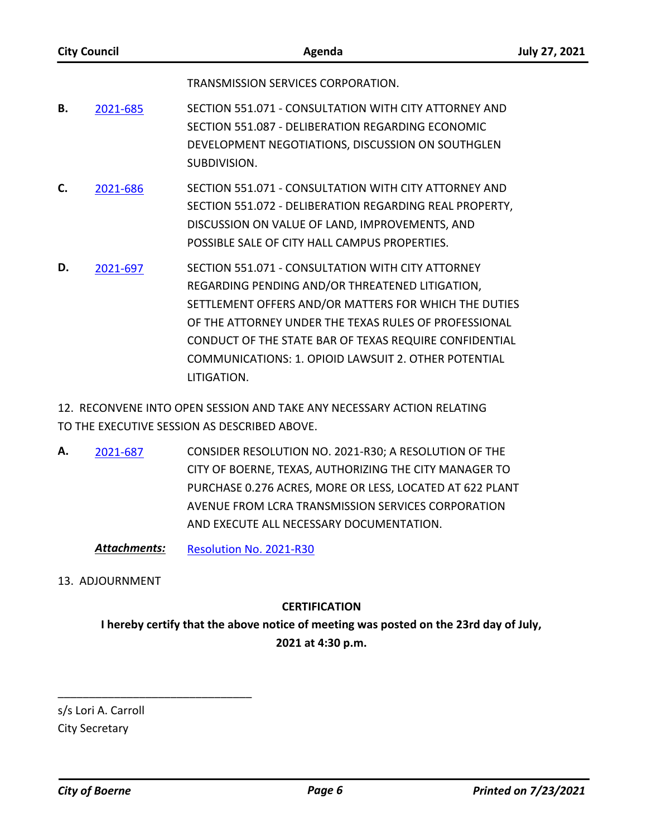|    | <b>City Council</b> | Agenda                                                                                                                                                                                                                                                                                                                                                  | <b>July 27, 2021</b> |
|----|---------------------|---------------------------------------------------------------------------------------------------------------------------------------------------------------------------------------------------------------------------------------------------------------------------------------------------------------------------------------------------------|----------------------|
|    |                     | TRANSMISSION SERVICES CORPORATION.                                                                                                                                                                                                                                                                                                                      |                      |
| В. | 2021-685            | SECTION 551.071 - CONSULTATION WITH CITY ATTORNEY AND<br>SECTION 551.087 - DELIBERATION REGARDING ECONOMIC<br>DEVELOPMENT NEGOTIATIONS, DISCUSSION ON SOUTHGLEN<br>SUBDIVISION.                                                                                                                                                                         |                      |
| C. | 2021-686            | SECTION 551.071 - CONSULTATION WITH CITY ATTORNEY AND<br>SECTION 551.072 - DELIBERATION REGARDING REAL PROPERTY,<br>DISCUSSION ON VALUE OF LAND, IMPROVEMENTS, AND<br>POSSIBLE SALE OF CITY HALL CAMPUS PROPERTIES.                                                                                                                                     |                      |
| D. | 2021-697            | SECTION 551.071 - CONSULTATION WITH CITY ATTORNEY<br>REGARDING PENDING AND/OR THREATENED LITIGATION,<br>SETTLEMENT OFFERS AND/OR MATTERS FOR WHICH THE DUTIES<br>OF THE ATTORNEY UNDER THE TEXAS RULES OF PROFESSIONAL<br>CONDUCT OF THE STATE BAR OF TEXAS REQUIRE CONFIDENTIAL<br>COMMUNICATIONS: 1. OPIOID LAWSUIT 2. OTHER POTENTIAL<br>LITIGATION. |                      |

12. RECONVENE INTO OPEN SESSION AND TAKE ANY NECESSARY ACTION RELATING TO THE EXECUTIVE SESSION AS DESCRIBED ABOVE.

CONSIDER RESOLUTION NO. 2021-R30; A RESOLUTION OF THE CITY OF BOERNE, TEXAS, AUTHORIZING THE CITY MANAGER TO PURCHASE 0.276 ACRES, MORE OR LESS, LOCATED AT 622 PLANT AVENUE FROM LCRA TRANSMISSION SERVICES CORPORATION AND EXECUTE ALL NECESSARY DOCUMENTATION. **A.** [2021-687](http://boerne.legistar.com/gateway.aspx?m=l&id=/matter.aspx?key=6125)

*Attachments:* [Resolution No. 2021-R30](http://boerne.legistar.com/gateway.aspx?M=F&ID=eee80456-9f21-4dfb-b64d-e0fc45a6cbdd.docx)

### 13. ADJOURNMENT

### **CERTIFICATION**

**I hereby certify that the above notice of meeting was posted on the 23rd day of July, 2021 at 4:30 p.m.**

s/s Lori A. Carroll City Secretary

\_\_\_\_\_\_\_\_\_\_\_\_\_\_\_\_\_\_\_\_\_\_\_\_\_\_\_\_\_\_\_